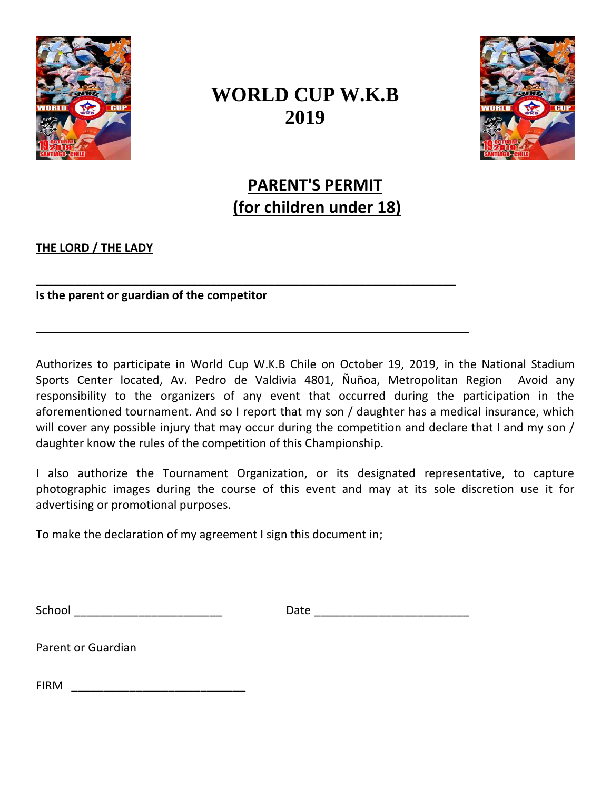

## **WORLD CUP W.K.B 2019**



**PARENT'S PERMIT (for children under 18)**

## **THE LORD / THE LADY**

**Is the parent or guardian of the competitor**

Authorizes to participate in World Cup W.K.B Chile on October 19, 2019, in the National Stadium Sports Center located, Av. Pedro de Valdivia 4801, Ñuñoa, Metropolitan Region Avoid any responsibility to the organizers of any event that occurred during the participation in the aforementioned tournament. And so I report that my son / daughter has a medical insurance, which will cover any possible injury that may occur during the competition and declare that I and my son / daughter know the rules of the competition of this Championship.

\_\_\_\_\_\_\_\_\_\_\_\_\_\_\_\_\_\_\_\_\_\_\_\_\_\_\_\_\_\_\_\_\_\_\_\_\_\_\_\_\_\_\_\_\_\_\_\_\_\_\_\_\_\_\_\_\_\_\_\_\_\_\_\_\_

 $\mathcal{L} = \{ \mathcal{L} = \{ \mathcal{L} \mid \mathcal{L} = \{ \mathcal{L} \mid \mathcal{L} = \{ \mathcal{L} \mid \mathcal{L} = \{ \mathcal{L} \mid \mathcal{L} = \{ \mathcal{L} \mid \mathcal{L} = \{ \mathcal{L} \mid \mathcal{L} = \{ \mathcal{L} \mid \mathcal{L} = \{ \mathcal{L} \mid \mathcal{L} = \{ \mathcal{L} \mid \mathcal{L} = \{ \mathcal{L} \mid \mathcal{L} = \{ \mathcal{L} \mid \mathcal{L} = \{ \mathcal{L} \mid \mathcal{L} =$ 

I also authorize the Tournament Organization, or its designated representative, to capture photographic images during the course of this event and may at its sole discretion use it for advertising or promotional purposes.

To make the declaration of my agreement I sign this document in;

School \_\_\_\_\_\_\_\_\_\_\_\_\_\_\_\_\_\_\_\_\_\_\_ Date \_\_\_\_\_\_\_\_\_\_\_\_\_\_\_\_\_\_\_\_\_\_\_\_

Parent or Guardian

FIRM \_\_\_\_\_\_\_\_\_\_\_\_\_\_\_\_\_\_\_\_\_\_\_\_\_\_\_